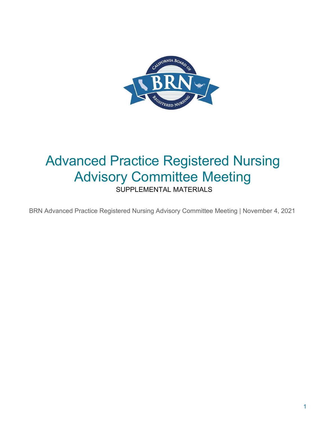

# Advanced Practice Registered Nursing Advisory Committee Meeting

SUPPLEMENTAL MATERIALS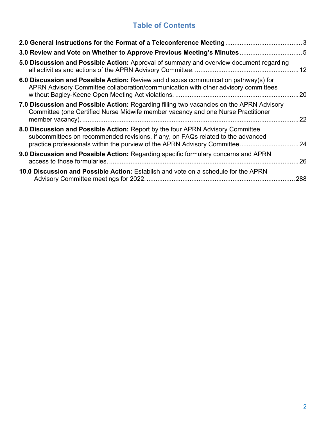### **Table of Contents**

| 5.0 Discussion and Possible Action: Approval of summary and overview document regarding                                                                                                                                                       | $12 \overline{ }$ |
|-----------------------------------------------------------------------------------------------------------------------------------------------------------------------------------------------------------------------------------------------|-------------------|
| 6.0 Discussion and Possible Action: Review and discuss communication pathway(s) for<br>APRN Advisory Committee collaboration/communication with other advisory committees                                                                     | . 20              |
| 7.0 Discussion and Possible Action: Regarding filling two vacancies on the APRN Advisory<br>Committee (one Certified Nurse Midwife member vacancy and one Nurse Practitioner                                                                  | 22                |
| 8.0 Discussion and Possible Action: Report by the four APRN Advisory Committee<br>subcommittees on recommended revisions, if any, on FAQs related to the advanced<br>practice professionals within the purview of the APRN Advisory Committee | 24                |
| 9.0 Discussion and Possible Action: Regarding specific formulary concerns and APRN                                                                                                                                                            | 26                |
| 10.0 Discussion and Possible Action: Establish and vote on a schedule for the APRN                                                                                                                                                            | 288               |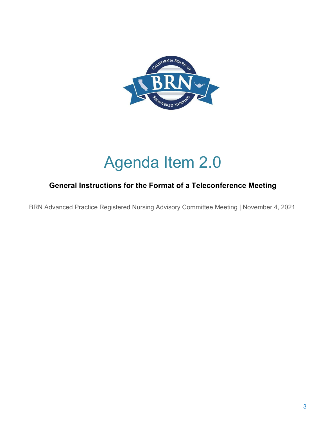

# Agenda Item 2.0

### <span id="page-2-0"></span> **General Instructions for the Format of a Teleconference Meeting**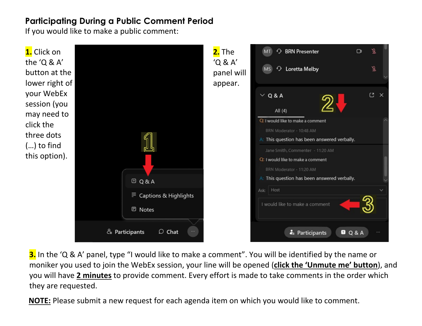## **Participating During a Public Comment Period**

If you would like to make a public comment:



**3.** In the 'Q & A' panel, type "I would like to make a comment". You will be identified by the name or moniker you used to join the WebEx session, your line will be opened (**click the 'Unmute me' button**), and you will have **2 minutes** to provide comment. Every effort is made to take comments in the order which they are requested.

**NOTE:** Please submit a new request for each agenda item on which you would like to comment.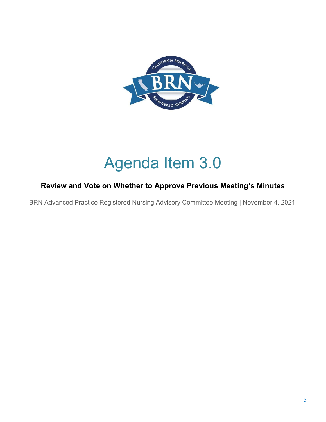

# Agenda Item 3.0

### <span id="page-4-0"></span>**Review and Vote on Whether to Approve Previous Meeting's Minutes**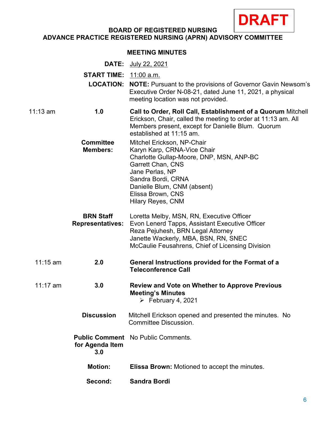

#### **BOARD OF REGISTERED NURSING ADVANCE PRACTICE REGISTERED NURSING (APRN) ADVISORY COMMITTEE**

#### **MEETING MINUTES**

|            | <b>DATE:</b>                        | July 22, 2021                                                                                                                                                                                                  |
|------------|-------------------------------------|----------------------------------------------------------------------------------------------------------------------------------------------------------------------------------------------------------------|
|            | <b>START TIME:</b> 11:00 a.m.       |                                                                                                                                                                                                                |
|            |                                     | <b>LOCATION: NOTE:</b> Pursuant to the provisions of Governor Gavin Newsom's<br>Executive Order N-08-21, dated June 11, 2021, a physical<br>meeting location was not provided.                                 |
| $11:13$ am | 1.0                                 | Call to Order, Roll Call, Establishment of a Quorum Mitchell<br>Erickson, Chair, called the meeting to order at 11:13 am. All<br>Members present, except for Danielle Blum. Quorum<br>established at 11:15 am. |
|            | <b>Committee</b><br><b>Members:</b> | Mitchel Erickson, NP-Chair<br>Karyn Karp, CRNA-Vice Chair<br>Charlotte Gullap-Moore, DNP, MSN, ANP-BC<br><b>Garrett Chan, CNS</b><br>Jane Perlas, NP<br>Sandra Bordi, CRNA<br>Danielle Blum, CNM (absent)      |

 Reza Pejuhesh, BRN Legal Attorney **BRN Staff** Loretta Melby, MSN, RN, Executive Officer **Representatives:** Evon Lenerd Tapps, Assistant Executive Officer Janette Wackerly, MBA, BSN, RN, SNEC McCaulie Feusahrens, Chief of Licensing Division

11:15 am **2.0 General Instructions provided for the Format of a Teleconference Call** 

Elissa Brown, CNS Hilary Reyes, CNM

- 11:17 am **3.0 Review and Vote on Whether to Approve Previous Meeting's Minutes**   $\triangleright$  February 4, 2021
	- **Discussion** Mitchell Erickson opened and presented the minutes. No Committee Discussion.

**Public Comment** No Public Comments. **for Agenda Item 3.0** 

- **Motion:** Elissa Brown: Motioned to accept the minutes.
- **Second: Sandra Bordi**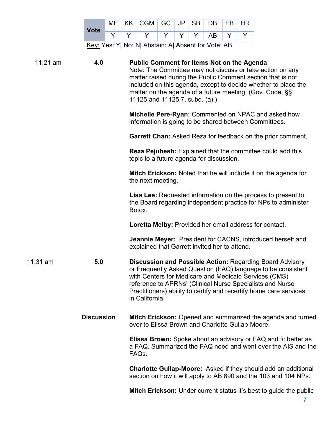| <b>Vote</b>                                         |  |  | $ME$   KK   CGM   GC   JP   SB   DB   EB   HR |  |  |  |  |
|-----------------------------------------------------|--|--|-----------------------------------------------|--|--|--|--|
|                                                     |  |  | Y   Y   Y   Y   Y   AB   Y                    |  |  |  |  |
| Key: Yes: Y  No: N  Abstain: A  Absent for Vote: AB |  |  |                                               |  |  |  |  |

| $11:21$ am<br>4.0 |                   | <b>Public Comment for Items Not on the Agenda</b><br>Note: The Committee may not discuss or take action on any<br>matter raised during the Public Comment section that is not<br>included on this agenda, except to decide whether to place the<br>matter on the agenda of a future meeting. (Gov. Code, §§<br>11125 and 11125.7, subd. (a).) |
|-------------------|-------------------|-----------------------------------------------------------------------------------------------------------------------------------------------------------------------------------------------------------------------------------------------------------------------------------------------------------------------------------------------|
|                   |                   | Michelle Pere-Ryan: Commented on NPAC and asked how<br>information is going to be shared between Committees.                                                                                                                                                                                                                                  |
|                   |                   | <b>Garrett Chan:</b> Asked Reza for feedback on the prior comment.                                                                                                                                                                                                                                                                            |
|                   |                   | <b>Reza Pejuhesh:</b> Explained that the committee could add this<br>topic to a future agenda for discussion.                                                                                                                                                                                                                                 |
|                   |                   | Mitch Erickson: Noted that he will include it on the agenda for<br>the next meeting.                                                                                                                                                                                                                                                          |
|                   |                   | <b>Lisa Lee:</b> Requested information on the process to present to<br>the Board regarding independent practice for NPs to administer<br>Botox.                                                                                                                                                                                               |
|                   |                   | Loretta Melby: Provided her email address for contact.                                                                                                                                                                                                                                                                                        |
|                   |                   | <b>Jeannie Meyer:</b> President for CACNS, introduced herself and<br>explained that Garrett invited her to attend.                                                                                                                                                                                                                            |
| 11:31 am          | 5.0               | <b>Discussion and Possible Action: Regarding Board Advisory</b><br>or Frequently Asked Question (FAQ) language to be consistent<br>with Centers for Medicare and Medicaid Services (CMS)<br>reference to APRNs' (Clinical Nurse Specialists and Nurse<br>Practitioners) ability to certify and recertify home care services<br>in California. |
|                   | <b>Discussion</b> | Mitch Erickson: Opened and summarized the agenda and turned<br>over to Elissa Brown and Charlotte Gullap-Moore.                                                                                                                                                                                                                               |
|                   |                   | <b>Elissa Brown:</b> Spoke about an advisory or FAQ and fit better as<br>a FAQ. Summarized the FAQ need and went over the AIS and the<br>FAQ <sub>s</sub> .                                                                                                                                                                                   |
|                   |                   | <b>Charlotte Gullap-Moore:</b> Asked if they should add an additional<br>section on how it will apply to AB 890 and the 103 and 104 NPs.                                                                                                                                                                                                      |

**Mitch Erickson:** Under current status it's best to guide the public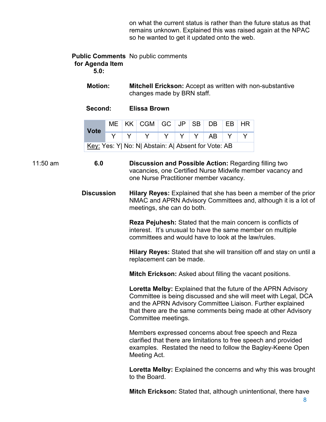on what the current status is rather than the future status as that remains unknown. Explained this was raised again at the NPAC so he wanted to get it updated onto the web.

#### **Public Comments** No public comments **for Agenda Item 5.0:**

 changes made by BRN staff. **Motion: Mitchell Erickson:** Accept as written with non-substantive

**Second: Elissa Brown** 

| <b>Vote</b> |  | $ME$   KK   CGM   GC   JP   SB   DB   EB   HR       |  |  |  |
|-------------|--|-----------------------------------------------------|--|--|--|
|             |  | $Y Y   Y   Y   Y   Y   Y   A B   Y  $               |  |  |  |
|             |  | Key: Yes: Y  No: N  Abstain: A  Absent for Vote: AB |  |  |  |

11:50 am **6.0 Discussion and Possible Action:** Regarding filling two vacancies, one Certified Nurse Midwife member vacancy and one Nurse Practitioner member vacancy.

> **Discussion Hilary Reyes:** Explained that she has been a member of the prior NMAC and APRN Advisory Committees and, although it is a lot of meetings, she can do both.

> > committees and would have to look at the law/rules. **Reza Pejuhesh:** Stated that the main concern is conflicts of interest. It's unusual to have the same member on multiple

 **Hilary Reyes:** Stated that she will transition off and stay on until a replacement can be made.

**Mitch Erickson:** Asked about filling the vacant positions.

 and the APRN Advisory Committee Liaison. Further explained **Loretta Melby:** Explained that the future of the APRN Advisory Committee is being discussed and she will meet with Legal, DCA that there are the same comments being made at other Advisory Committee meetings.

 Members expressed concerns about free speech and Reza examples. Restated the need to follow the Bagley-Keene Open Meeting Act. clarified that there are limitations to free speech and provided

 **Loretta Melby:** Explained the concerns and why this was brought to the Board.

**Mitch Erickson:** Stated that, although unintentional, there have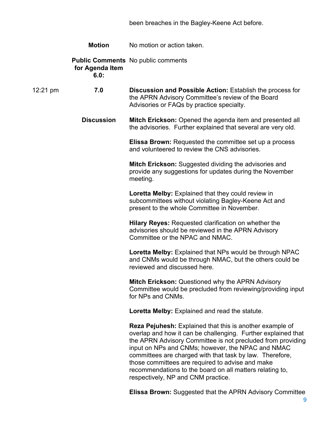been breaches in the Bagley-Keene Act before.

|                    | <b>Motion</b>           | No motion or action taken.                                                                                                                                                                                                                                                                                                                                                                                                                                             |
|--------------------|-------------------------|------------------------------------------------------------------------------------------------------------------------------------------------------------------------------------------------------------------------------------------------------------------------------------------------------------------------------------------------------------------------------------------------------------------------------------------------------------------------|
|                    | for Agenda Item<br>6.0: | <b>Public Comments</b> No public comments                                                                                                                                                                                                                                                                                                                                                                                                                              |
| $12:21 \text{ pm}$ | 7.0                     | Discussion and Possible Action: Establish the process for<br>the APRN Advisory Committee's review of the Board<br>Advisories or FAQs by practice specialty.                                                                                                                                                                                                                                                                                                            |
|                    | <b>Discussion</b>       | <b>Mitch Erickson:</b> Opened the agenda item and presented all<br>the advisories. Further explained that several are very old.                                                                                                                                                                                                                                                                                                                                        |
|                    |                         | <b>Elissa Brown:</b> Requested the committee set up a process<br>and volunteered to review the CNS advisories.                                                                                                                                                                                                                                                                                                                                                         |
|                    |                         | <b>Mitch Erickson:</b> Suggested dividing the advisories and<br>provide any suggestions for updates during the November<br>meeting.                                                                                                                                                                                                                                                                                                                                    |
|                    |                         | Loretta Melby: Explained that they could review in<br>subcommittees without violating Bagley-Keene Act and<br>present to the whole Committee in November.                                                                                                                                                                                                                                                                                                              |
|                    |                         | <b>Hilary Reyes: Requested clarification on whether the</b><br>advisories should be reviewed in the APRN Advisory<br>Committee or the NPAC and NMAC.                                                                                                                                                                                                                                                                                                                   |
|                    |                         | Loretta Melby: Explained that NPs would be through NPAC<br>and CNMs would be through NMAC, but the others could be<br>reviewed and discussed here.                                                                                                                                                                                                                                                                                                                     |
|                    |                         | Mitch Erickson: Questioned why the APRN Advisory<br>Committee would be precluded from reviewing/providing input<br>for NPs and CNMs.                                                                                                                                                                                                                                                                                                                                   |
|                    |                         | Loretta Melby: Explained and read the statute.                                                                                                                                                                                                                                                                                                                                                                                                                         |
|                    |                         | <b>Reza Pejuhesh:</b> Explained that this is another example of<br>overlap and how it can be challenging. Further explained that<br>the APRN Advisory Committee is not precluded from providing<br>input on NPs and CNMs; however, the NPAC and NMAC<br>committees are charged with that task by law. Therefore,<br>those committees are required to advise and make<br>recommendations to the board on all matters relating to,<br>respectively, NP and CNM practice. |

**Elissa Brown:** Suggested that the APRN Advisory Committee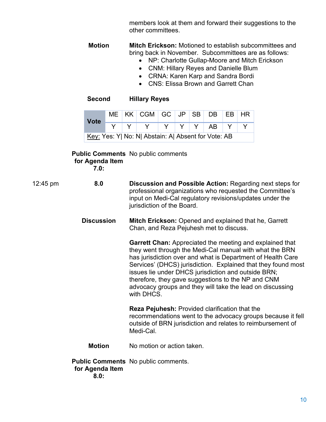members look at them and forward their suggestions to the other committees.

 bring back in November. Subcommittees are as follows: **Motion Mitch Erickson:** Motioned to establish subcommittees and

- NP: Charlotte Gullap-Moore and Mitch Erickson
- CNM: Hillary Reyes and Danielle Blum
- CRNA: Karen Karp and Sandra Bordi
- CNS: Flissa Brown and Garrett Chan

**Second Hillary Reyes** 

| <b>Vote</b>                                         |  |  | $ME$   KK   CGM   GC   JP   SB   DB   EB   HR |  |  |  |  |  |
|-----------------------------------------------------|--|--|-----------------------------------------------|--|--|--|--|--|
|                                                     |  |  | $Y Y Y Y Y Y Y Y Y B Y$                       |  |  |  |  |  |
| Key: Yes: Y  No: N  Abstain: A  Absent for Vote: AB |  |  |                                               |  |  |  |  |  |

#### **Public Comments**  No public comments **for Agenda Item**

**7.0:** 

- 12:45 pm **8.0 Discussion and Possible Action:** Regarding next steps for professional organizations who requested the Committee's input on Medi-Cal regulatory revisions/updates under the jurisdiction of the Board.
	- **Mitch Erickson:** Opened and explained that he, Garrett **Discussion**  Chan, and Reza Pejuhesh met to discuss.

 Services' (DHCS) jurisdiction. Explained that they found most therefore, they gave suggestions to the NP and CNM **Garrett Chan:** Appreciated the meeting and explained that they went through the Medi-Cal manual with what the BRN has jurisdiction over and what is Department of Health Care issues lie under DHCS jurisdiction and outside BRN; advocacy groups and they will take the lead on discussing with DHCS.

 Medi-Cal. **Reza Pejuhesh:** Provided clarification that the recommendations went to the advocacy groups because it fell outside of BRN jurisdiction and relates to reimbursement of

**Motion**  No motion or action taken.

**Public Comments**  No public comments. **for Agenda Item 8.0:**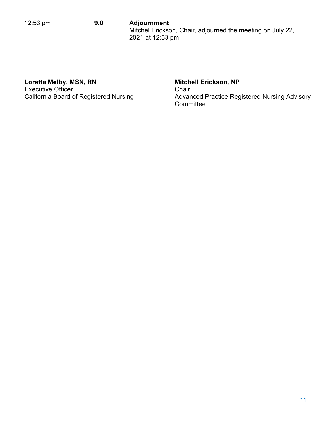#### 12:53 pm **9.0 Adjournment** Mitchel Erickson, Chair, adjourned the meeting on July 22, 2021 at 12:53 pm

### **Loretta Melby, MSN, RN Mitchell Erickson, NP**  Executive Officer **Chair** Chair

California Board of Registered Nursing Advanced Practice Registered Nursing Advisory **Committee**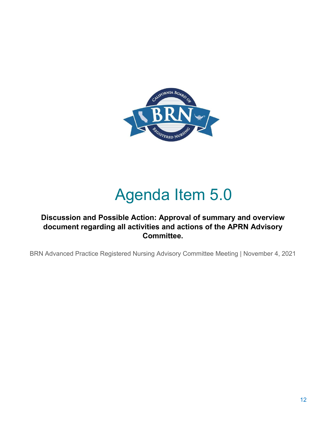

# Agenda Item 5.0

### <span id="page-11-0"></span> **Discussion and Possible Action: Approval of summary and overview document regarding all activities and actions of the APRN Advisory Committee.**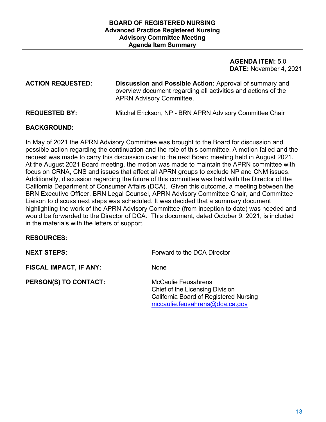#### **AGENDA ITEM:** 5.0 **DATE:** November 4, 2021

**ACTION REQUESTED: Discussion and Possible Action:** Approval of summary and overview document regarding all activities and actions of the APRN Advisory Committee.

**REQUESTED BY:** Mitchel Erickson, NP - BRN APRN Advisory Committee Chair

#### **BACKGROUND:**

 In May of 2021 the APRN Advisory Committee was brought to the Board for discussion and possible action regarding the continuation and the role of this committee. A motion failed and the California Department of Consumer Affairs (DCA). Given this outcome, a meeting between the Liaison to discuss next steps was scheduled. It was decided that a summary document highlighting the work of the APRN Advisory Committee (from inception to date) was needed and request was made to carry this discussion over to the next Board meeting held in August 2021. At the August 2021 Board meeting, the motion was made to maintain the APRN committee with focus on CRNA, CNS and issues that affect all APRN groups to exclude NP and CNM issues. Additionally, discussion regarding the future of this committee was held with the Director of the BRN Executive Officer, BRN Legal Counsel, APRN Advisory Committee Chair, and Committee would be forwarded to the Director of DCA. This document, dated October 9, 2021, is included in the materials with the letters of support.

#### **RESOURCES:**

**FISCAL IMPACT, IF ANY:** None

**PERSON(S) TO CONTACT:** McCaulie Feusahrens

**NEXT STEPS: Forward to the DCA Director** 

Chief of the Licensing Division California Board of Registered Nursing [mccaulie.feusahrens@dca.ca.gov](mailto:mccaulie.feusahrens@dca.ca.gov)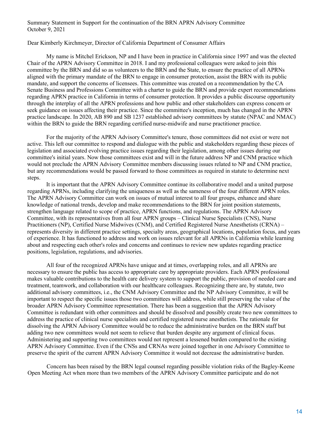#### Summary Statement in Support for the continuation of the BRN APRN Advisory Committee October 9, 2021

Dear Kimberly Kirchmeyer, Director of California Department of Consumer Affairs

 My name is Mitchel Erickson, NP and I have been in practice in California since 1997 and was the elected Chair of the APRN Advisory Committee in 2018. I and my professional colleagues were asked to join this aligned with the primary mandate of the BRN to engage in consumer protection, assist the BRN with its public mandate, and support the concerns of licensees. This committee was created on a recommendation by the CA committee by the BRN and did so as volunteers to the BRN and the State, to ensure the practice of all APRNs Senate Business and Professions Committee with a charter to guide the BRN and provide expert recommendations regarding APRN practice in California in terms of consumer protection. It provides a public discourse opportunity through the interplay of all the APRN professions and how public and other stakeholders can express concern or seek guidance on issues affecting their practice. Since the committee's inception, much has changed in the APRN practice landscape. In 2020, AB 890 and SB 1237 established advisory committees by statute (NPAC and NMAC) within the BRN to guide the BRN regarding certified nurse-midwife and nurse practitioner practice.

 For the majority of the APRN Advisory Committee's tenure, those committees did not exist or were not active. This left our committee to respond and dialogue with the public and stakeholders regarding these pieces of committee's initial years. Now those committees exist and will in the future address NP and CNM practice which would not preclude the APRN Advisory Committee members discussing issues related to NP and CNM practice, but any recommendations would be passed forward to those committees as required in statute to determine next legislation and associated evolving practice issues regarding their legislation, among other issues during our steps.

 It is important that the APRN Advisory Committee continue its collaborative model and a united purpose The APRN Advisory Committee can work on issues of mutual interest to all four groups, enhance and share of experience. It has functioned to address and work on issues relevant for all APRNs in California while learning regarding APRNs, including clarifying the uniqueness as well as the sameness of the four different APRN roles. knowledge of national trends, develop and make recommendations to the BRN for joint position statements, strengthen language related to scope of practice, APRN functions, and regulations. The APRN Advisory Committee, with its representatives from all four APRN groups – Clinical Nurse Specialists (CNS), Nurse Practitioners (NP), Certified Nurse Midwives (CNM), and Certified Registered Nurse Anesthetists (CRNA) – represents diversity in different practice settings, specialty areas, geographical locations, population focus, and years about and respecting each other's roles and concerns and continues to review new updates regarding practice positions, legislation, regulations, and advisories.

 All four of the recognized APRNs have unique and at times, overlapping roles, and all APRNs are necessary to ensure the public has access to appropriate care by appropriate providers. Each APRN professional makes valuable contributions to the health care delivery system to support the public, provision of needed care and broader APRN Advisory Committee representation. There has been a suggestion that the APRN Advisory Administering and supporting two committees would not represent a lessened burden compared to the existing APRN Advisory Committee. Even if the CNSs and CRNAs were joined together in one Advisory Committee to treatment, teamwork, and collaboration with our healthcare colleagues. Recognizing there are, by statute, two additional advisory committees, i.e., the CNM Advisory Committee and the NP Advisory Committee, it will be important to respect the specific issues those two committees will address, while still preserving the value of the Committee is redundant with other committees and should be dissolved and possibly create two new committees to address the practice of clinical nurse specialists and certified registered nurse anesthetists. The rationale for dissolving the APRN Advisory Committee would be to reduce the administrative burden on the BRN staff but adding two new committees would not seem to relieve that burden despite any argument of clinical focus. preserve the spirit of the current APRN Advisory Committee it would not decrease the administrative burden.

 Concern has been raised by the BRN legal counsel regarding possible violation risks of the Bagley-Keene Open Meeting Act when more than two members of the APRN Advisory Committee participate and do not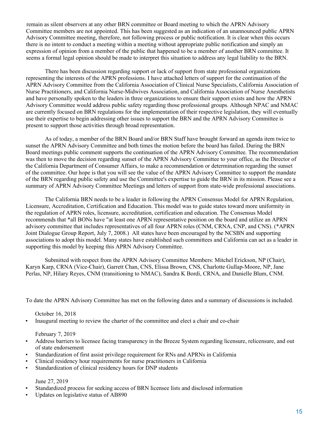expression of opinion from a member of the public that happened to be a member of another BRN committee. It remain as silent observers at any other BRN committee or Board meeting to which the APRN Advisory Committee members are not appointed. This has been suggested as an indication of an unannounced public APRN Advisory Committee meeting, therefore, not following process or public notification. It is clear when this occurs there is no intent to conduct a meeting within a meeting without appropriate public notification and simply an seems a formal legal opinion should be made to interpret this situation to address any legal liability to the BRN.

 There has been discussion regarding support or lack of support from state professional organizations Advisory Committee would address public safety regarding those professional groups. Although NPAC and NMAC representing the interests of the APRN professions. I have attached letters of support for the continuation of the APRN Advisory Committee from the California Association of Clinical Nurse Specialists, California Association of Nurse Practitioners, and California Nurse-Midwives Association, and California Association of Nurse Anesthetists and have personally spoken to the leaders in three organizations to ensure their support exists and how the APRN are currently focused on BRN regulations for the implementation of their respective legislation, they will eventually use their expertise to begin addressing other issues to support the BRN and the APRN Advisory Committee is present to support those activities through broad representation.

 As of today, a member of the BRN Board and/or BRN Staff have brought forward an agenda item twice to Board meetings public comment supports the continuation of the APRN Advisory Committee. The recommendation of the committee. Our hope is that you will see the value of the APRN Advisory Committee to support the mandate summary of APRN Advisory Committee Meetings and letters of support from state-wide professional associations. sunset the APRN Advisory Committee and both times the motion before the board has failed. During the BRN was then to move the decision regarding sunset of the APRN Advisory Committee to your office, as the Director of the California Department of Consumer Affairs, to make a recommendation or determination regarding the sunset of the BRN regarding public safety and use the Committee's expertise to guide the BRN in its mission. Please see a

 The California BRN needs to be a leader in following the APRN Consensus Model for APRN Regulation, the regulation of APRN roles, licensure, accreditation, certification and education. The Consensus Model associations to adopt this model. Many states have established such committees and California can act as a leader in Licensure, Accreditation, Certification and Education. This model was to guide states toward more uniformity in recommends that \*all BONs have "at least one APRN representative position on the board and utilize an APRN advisory committee that includes representatives of all four APRN roles (CNM, CRNA, CNP, and CNS). (\*APRN Joint Dialogue Group Report, July 7, 2008.) All states have been encouraged by the NCSBN and supporting supporting this model by keeping this APRN Advisory Committee.

 Perlas, NP, Hilary Reyes, CNM (transitioning to NMAC), Sandra K Bordi, CRNA, and Danielle Blum, CNM. Submitted with respect from the APRN Advisory Committee Members: Mitchel Erickson, NP (Chair), Karyn Karp, CRNA (Vice-Chair), Garrett Chan, CNS, Elissa Brown, CNS, Charlotte Gullap-Moore, NP, Jane

To date the APRN Advisory Committee has met on the following dates and a summary of discussions is included.

#### October 16, 2018

• Inaugural meeting to review the charter of the committee and elect a chair and co-chair

February 7, 2019

- • Address barriers to licensee facing transparency in the Breeze System regarding licensure, relicensure, and out of state endorsement
- Standardization of first assist privilege requirement for RNs and APRNs in California
- Clinical residency hour requirements for nurse practitioners in California
- Standardization of clinical residency hours for DNP students June 27, 2019

- Standardized process for seeking access of BRN licensee lists and disclosed information
- Updates on legislative status of AB890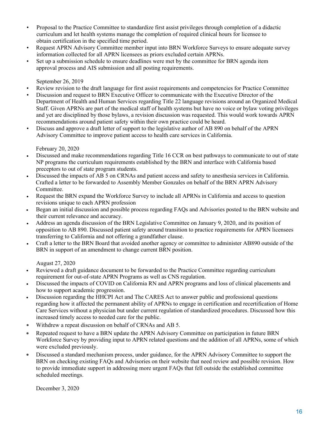- Proposal to the Practice Committee to standardize first assist privileges through completion of a didactic curriculum and let health systems manage the completion of required clinical hours for licensee to obtain certification in the specified time period.
- Request APRN Advisory Committee member input into BRN Workforce Surveys to ensure adequate survey information collected for all APRN licensees as priors excluded certain APRNs.
- Set up a submission schedule to ensure deadlines were met by the committee for BRN agenda item approval process and AIS submission and all posting requirements.

September 26, 2019

- Review revision to the draft language for first assist requirements and competencies for Practice Committee
- • Discussion and request to BRN Executive Officer to communicate with the Executive Director of the Department of Health and Human Services regarding Title 22 language revisions around an Organized Medical Staff. Given APRNs are part of the medical staff of health systems but have no voice or bylaw voting privileges and yet are disciplined by those bylaws, a revision discussion was requested. This would work towards APRN recommendations around patient safety within their own practice could be heard.
- Discuss and approve a draft letter of support to the legislative author of AB 890 on behalf of the APRN Advisory Committee to improve patient access to health care services in California.

February 20, 2020

- NP programs the curriculum requirements established by the BRN and interface with California based preceptors to out of state program students. • Discussed and make recommendations regarding Title 16 CCR on best pathways to communicate to out of state
- • Discussed the impacts of AB 5 on CRNAs and patient access and safety to anesthesia services in California. Crafted a letter to be forwarded to Assembly Member Gonzales on behalf of the BRN APRN Advisory Committee.
- Request the BRN expand the Workforce Survey to include all APRNs in California and access to question revisions unique to each APRN profession
- Began an initial discussion and possible process regarding FAQs and Advisories posted to the BRN website and their current relevance and accuracy.
- Address an agenda discussion of the BRN Legislative Committee on January 9, 2020, and its position of opposition to AB 890. Discussed patient safety around transition to practice requirements for APRN licensees transferring to California and not offering a grandfather clause.
- Craft a letter to the BRN Board that avoided another agency or committee to administer AB890 outside of the BRN in support of an amendment to change current BRN position.

August 27, 2020

- requirement for out-of-state APRN Programs as well as CNS regulation. • Reviewed a draft guidance document to be forwarded to the Practice Committee regarding curriculum
- • Discussed the impacts of COVID on California RN and APRN programs and loss of clinical placements and how to support academic progression.
- increased timely access to needed care for the public. • Discussion regarding the HHCPI Act and The CARES Act to answer public and professional questions regarding how it affected the permanent ability of APRNs to engage in certification and recertification of Home Care Services without a physician but under current regulation of standardized procedures. Discussed how this
- Withdrew a repeat discussion on behalf of CRNAs and AB 5.
- Repeated request to have a BRN update the APRN Advisory Committee on participation in future BRN Workforce Survey by providing input to APRN related questions and the addition of all APRNs, some of which were excluded previously.
- Discussed a standard mechanism process, under guidance, for the APRN Advisory Committee to support the BRN on checking existing FAQs and Advisories on their website that need review and possible revision. How to provide immediate support in addressing more urgent FAQs that fell outside the established committee scheduled meetings.

December 3, 2020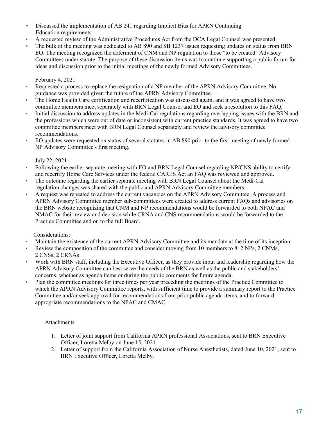- Discussed the implementation of AB 241 regarding Implicit Bias for APRN Continuing Education requirements.
- A requested review of the Administrative Procedures Act from the DCA Legal Counsel was presented.
- The bulk of the meeting was dedicated to AB 890 and SB 1237 issues requesting updates on status from BRN ideas and discussion prior to the initial meetings of the newly formed Advisory Committees. EO. The meeting recognized the deferment of CNM and NP regulation to those "to be created" Advisory Committees under statute. The purpose of these discussion items was to continue supporting a public forum for

February 4, 2021

- • Requested a process to replace the resignation of a NP member of the APRN Advisory Committee. No guidance was provided given the future of the APRN Advisory Committee.
- • The Home Health Care certification and recertification was discussed again, and it was agreed to have two committee members meet separately with BRN Legal Counsel and EO and seek a resolution to this FAQ.
- Initial discussion to address updates in the Medi-Cal regulations regarding overlapping issues with the BRN and the professions which were out of date or inconsistent with current practice standards. It was agreed to have two committee members meet with BRN Legal Counsel separately and review the advisory committee recommendations.
- NP Advisory Committee's first meeting. • EO updates were requested on status of several statutes in AB 890 prior to the first meeting of newly formed

July 22, 2021

- • Following the earlier separate meeting with EO and BRN Legal Counsel regarding NP/CNS ability to certify and recertify Home Care Services under the federal CARES Act an FAQ was reviewed and approved.
- The outcome regarding the earlier separate meeting with BRN Legal Counsel about the Medi-Cal regulation changes was shared with the public and APRN Advisory Committee members.
- NMAC for their review and decision while CRNA and CNS recommendations would be forwarded to the • A request was repeated to address the current vacancies on the APRN Advisory Committee. A process and APRN Advisory Committee member sub-committees were created to address current FAQs and advisories on the BRN website recognizing that CNM and NP recommendations would be forwarded to both NPAC and Practice Committee and on to the full Board.

Considerations:

- Maintain the existence of the current APRN Advisory Committee and its mandate at the time of its inception.
- Review the composition of the committee and consider moving from 10 members to 8: 2 NPs, 2 CNMs, 2 CNSs, 2 CRNAs
- • Work with BRN staff, including the Executive Officer, as they provide input and leadership regarding how the APRN Advisory Committee can best serve the needs of the BRN as well as the public and stakeholders' concerns, whether as agenda items or during the public comments for future agenda.
- Plan the committee meetings for three times per year preceding the meetings of the Practice Committee to which the APRN Advisory Committee reports, with sufficient time to provide a summary report to the Practice Committee and/or seek approval for recommendations from prior public agenda items, and to forward appropriate recommendations to the NPAC and CMAC.

#### Attachments

- 1. Letter of joint support from California APRN professional Associations, sent to BRN Executive Officer, Loretta Melby on June 15, 2021
- 2. Letter of support from the California Association of Nurse Anesthetists, dated June 10, 2021, sent to BRN Executive Officer, Loretta Melby.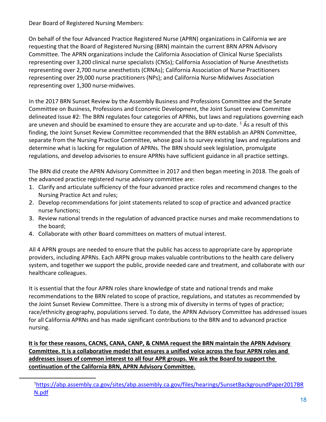Dear Board of Registered Nursing Members:

 On behalf of the four Advanced Practice Registered Nurse (APRN) organizations in California we are representing over 29,000 nurse practitioners (NPs); and California Nurse-Midwives Association requesting that the Board of Registered Nursing (BRN) maintain the current BRN APRN Advisory Committee. The APRN organizations include the California Association of Clinical Nurse Specialists representing over 3,200 clinical nurse specialists (CNSs); California Association of Nurse Anesthetists representing over 2,700 nurse anesthetists (CRNAs); California Association of Nurse Practitioners representing over 1,300 nurse-midwives.

 In the 2017 BRN Sunset Review by the Assembly Business and Professions Committee and the Senate finding, the Joint Sunset Review Committee recommended that the BRN establish an APRN Committee, Committee on Business, Professions and Economic Development, the Joint Sunset review Committee delineated Issue #2: The BRN regulates four categories of APRNs, but laws and regulations governing each are uneven and should be examined to ensure they are accurate and up-to-date.  $1\overline{A}$  As a result of this separate from the Nursing Practice Committee, whose goal is to survey existing laws and regulations and determine what is lacking for regulation of APRNs. The BRN should seek legislation, promulgate regulations, and develop advisories to ensure APRNs have sufficient guidance in all practice settings.

 The BRN did create the APRN Advisory Committee in 2017 and then began meeting in 2018. The goals of the advanced practice registered nurse advisory committee are:

- 1. Clarify and articulate sufficiency of the four advanced practice roles and recommend changes to the Nursing Practice Act and rules;
- 2. Develop recommendations for joint statements related to scop of practice and advanced practice nurse functions;
- 3. Review national trends in the regulation of advanced practice nurses and make recommendations to the board;
- 4. Collaborate with other Board committees on matters of mutual interest.

 All 4 APRN groups are needed to ensure that the public has access to appropriate care by appropriate providers, including APRNs. Each ARPN group makes valuable contributions to the health care delivery system, and together we support the public, provide needed care and treatment, and collaborate with our healthcare colleagues.

 race/ethnicity geography, populations served. To date, the APRN Advisory Committee has addressed issues for all California APRNs and has made significant contributions to the BRN and to advanced practice It is essential that the four APRN roles share knowledge of state and national trends and make recommendations to the BRN related to scope of practice, regulations, and statutes as recommended by the Joint Sunset Review Committee. There is a strong mix of diversity in terms of types of practice; nursing.

 **Committee. It is a collaborative model that ensures a unified voice across the four APRN roles and addresses issues of common interest to all four APR groups. We ask the Board to support the It is for these reasons, CACNS, CANA, CANP, & CNMA request the BRN maintain the APRN Advisory continuation of the California BRN, APRN Advisory Committee.** 

<span id="page-17-0"></span><sup>1</sup> [https://abp.assembly.ca.gov/sites/abp.assembly.ca.gov/files/hearings/SunsetBackgroundPaper2017BR](https://abp.assembly.ca.gov/sites/abp.assembly.ca.gov/files/hearings/SunsetBackgroundPaper2017BRN.pdf)  [N.pdf](https://abp.assembly.ca.gov/sites/abp.assembly.ca.gov/files/hearings/SunsetBackgroundPaper2017BRN.pdf)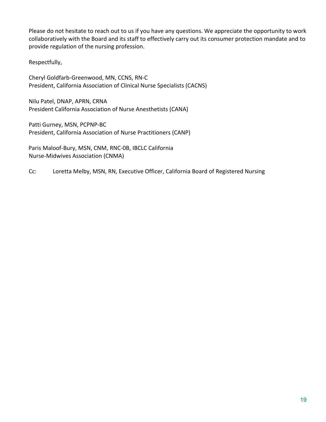Please do not hesitate to reach out to us if you have any questions. We appreciate the opportunity to work collaboratively with the Board and its staff to effectively carry out its consumer protection mandate and to provide regulation of the nursing profession.

Respectfully,

Cheryl Goldfarb-Greenwood, MN, CCNS, RN-C President, California Association of Clinical Nurse Specialists (CACNS)

Nilu Patel, DNAP, APRN, CRNA President California Association of Nurse Anesthetists (CANA)

Patti Gurney, MSN, PCPNP-BC President, California Association of Nurse Practitioners (CANP)

Paris Maloof-Bury, MSN, CNM, RNC-0B, IBCLC California Nurse-Midwives Association (CNMA)

Cc: Loretta Melby, MSN, RN, Executive Officer, California Board of Registered Nursing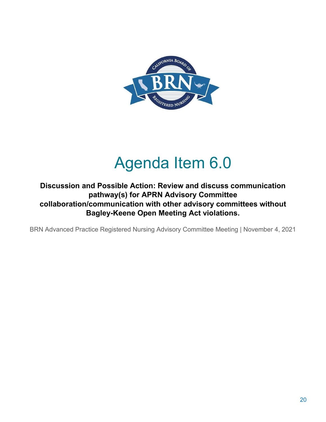

# Agenda Item 6.0

<span id="page-19-0"></span> **Discussion and Possible Action: Review and discuss communication pathway(s) for APRN Advisory Committee collaboration/communication with other advisory committees without Bagley-Keene Open Meeting Act violations.**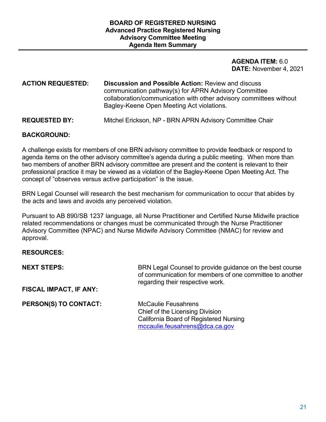#### **AGENDA ITEM:** 6.0 **DATE:** November 4, 2021

#### **ACTION REQUESTED: Discussion and Possible Action:** Review and discuss communication pathway(s) for APRN Advisory Committee collaboration/communication with other advisory committees without Bagley-Keene Open Meeting Act violations.

#### **REQUESTED BY:** Mitchel Erickson, NP - BRN APRN Advisory Committee Chair

#### **BACKGROUND:**

 A challenge exists for members of one BRN advisory committee to provide feedback or respond to agenda items on the other advisory committee's agenda during a public meeting. When more than two members of another BRN advisory committee are present and the content is relevant to their professional practice it may be viewed as a violation of the Bagley-Keene Open Meeting Act. The concept of "observes versus active participation" is the issue.

 BRN Legal Counsel will research the best mechanism for communication to occur that abides by the acts and laws and avoids any perceived violation.

 Pursuant to AB 890/SB 1237 language, all Nurse Practitioner and Certified Nurse Midwife practice related recommendations or changes must be communicated through the Nurse Practitioner approval. Advisory Committee (NPAC) and Nurse Midwife Advisory Committee (NMAC) for review and

#### **RESOURCES:**

| <b>NEXT STEPS:</b>            | BRN Legal Counsel to provide guidance on the best course<br>of communication for members of one committee to another<br>regarding their respective work. |
|-------------------------------|----------------------------------------------------------------------------------------------------------------------------------------------------------|
| <b>FISCAL IMPACT, IF ANY:</b> |                                                                                                                                                          |
| PERSON(S) TO CONTACT:         | <b>McCaulie Feusahrens</b><br>Chief of the Licensing Division                                                                                            |
|                               | <b>California Board of Registered Nursing</b>                                                                                                            |

[mccaulie.feusahrens@dca.ca.gov](mailto:mccaulie.feusahrens@dca.ca.gov)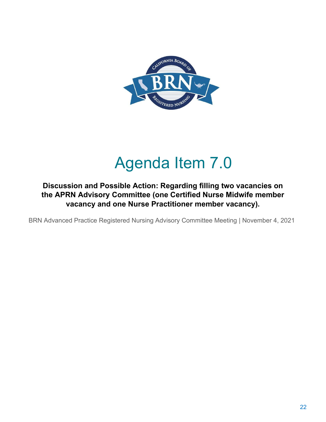

# Agenda Item 7.0

### <span id="page-21-0"></span> **Discussion and Possible Action: Regarding filling two vacancies on the APRN Advisory Committee (one Certified Nurse Midwife member vacancy and one Nurse Practitioner member vacancy).**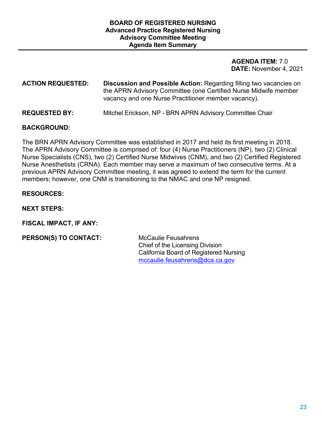#### **AGENDA ITEM:** 7.0 **DATE:** November 4, 2021

### **ACTION REQUESTED: Discussion and Possible Action:** Regarding filling two vacancies on the APRN Advisory Committee (one Certified Nurse Midwife member vacancy and one Nurse Practitioner member vacancy).

#### **REQUESTED BY:** Mitchel Erickson, NP - BRN APRN Advisory Committee Chair

#### **BACKGROUND:**

The BRN APRN Advisory Committee was established in 2017 and held its first meeting in 2018. The APRN Advisory Committee is comprised of: four (4) Nurse Practitioners (NP), two (2) Clinical Nurse Specialists (CNS), two (2) Certified Nurse Midwives (CNM), and two (2) Certified Registered Nurse Anesthetists (CRNA). Each member may serve a maximum of two consecutive terms. At a previous APRN Advisory Committee meeting, it was agreed to extend the term for the current members; however, one CNM is transitioning to the NMAC and one NP resigned.

#### **RESOURCES:**

**NEXT STEPS:** 

**FISCAL IMPACT, IF ANY:** 

**PERSON(S) TO CONTACT:** McCaulie Feusahrens

Chief of the Licensing Division California Board of Registered Nursing [mccaulie.feusahrens@dca.ca.gov](mailto:mccaulie.feusahrens@dca.ca.gov)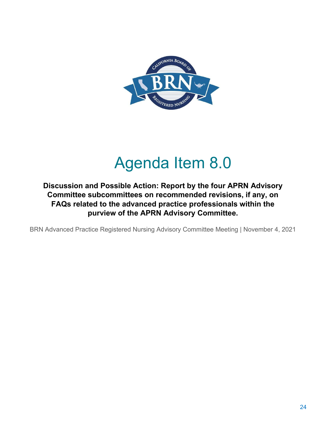

# Agenda Item 8.0

<span id="page-23-0"></span> **Discussion and Possible Action: Report by the four APRN Advisory Committee subcommittees on recommended revisions, if any, on FAQs related to the advanced practice professionals within the purview of the APRN Advisory Committee.**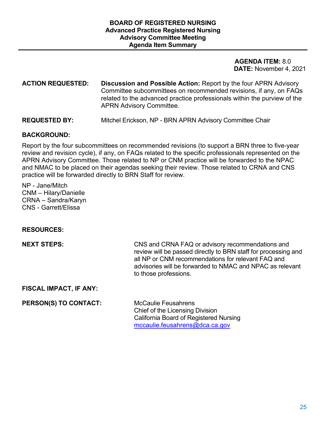#### **AGENDA ITEM:** 8.0 **DATE:** November 4, 2021

#### Committee subcommittees on recommended revisions, if any, on FAQs **ACTION REQUESTED: Discussion and Possible Action:** Report by the four APRN Advisory related to the advanced practice professionals within the purview of the APRN Advisory Committee.

#### **REQUESTED BY:** Mitchel Erickson, NP - BRN APRN Advisory Committee Chair

#### **BACKGROUND:**

Report by the four subcommittees on recommended revisions (to support a BRN three to five-year review and revision cycle), if any, on FAQs related to the specific professionals represented on the APRN Advisory Committee. Those related to NP or CNM practice will be forwarded to the NPAC and NMAC to be placed on their agendas seeking their review. Those related to CRNA and CNS practice will be forwarded directly to BRN Staff for review.

 CNS - Garrett/Elissa NP - Jane/Mitch CNM – Hilary/Danielle CRNA – Sandra/Karyn

#### **RESOURCES:**

 all NP or CNM recommendations for relevant FAQ and advisories will be forwarded to NMAC and NPAC as relevant **NEXT STEPS:** CNS and CRNA FAQ or advisory recommendations and review will be passed directly to BRN staff for processing and to those professions.

#### **FISCAL IMPACT, IF ANY:**

**PERSON(S) TO CONTACT:** McCaulie Feusahrens

Chief of the Licensing Division California Board of Registered Nursing [mccaulie.feusahrens@dca.ca.gov](mailto:mccaulie.feusahrens@dca.ca.gov)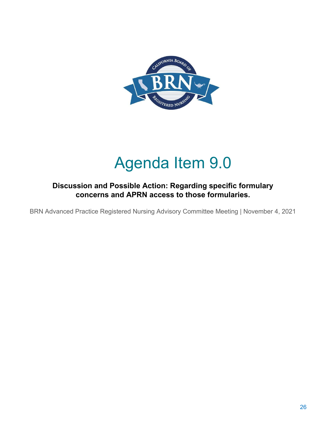

# Agenda Item 9.0

### <span id="page-25-0"></span>**Discussion and Possible Action: Regarding specific formulary concerns and APRN access to those formularies.**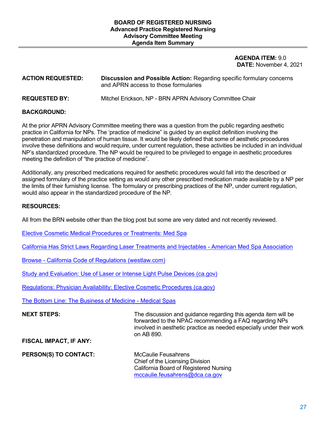#### **AGENDA ITEM:** 9.0 **DATE:** November 4, 2021

#### **ACTION REQUESTED: Discussion and Possible Action:** Regarding specific formulary concerns and APRN access to those formularies

**REQUESTED BY:** Mitchel Erickson, NP - BRN APRN Advisory Committee Chair

#### **BACKGROUND:**

 practice in California for NPs. The 'practice of medicine" is guided by an explicit definition involving the penetration and manipulation of human tissue. It would be likely defined that some of aesthetic procedures involve these definitions and would require, under current regulation, these activities be included in an individual NP's standardized procedure. The NP would be required to be privileged to engage in aesthetic procedures meeting the definition of "the practice of medicine". At the prior APRN Advisory Committee meeting there was a question from the public regarding aesthetic

 the limits of their furnishing license. The formulary or prescribing practices of the NP, under current regulation, Additionally, any prescribed medications required for aesthetic procedures would fall into the described or assigned formulary of the practice setting as would any other prescribed medication made available by a NP per would also appear in the standardized procedure of the NP.

#### **RESOURCES:**

All from the BRN website other than the blog post but some are very dated and not recently reviewed.

[Elective Cosmetic Medical Procedures or Treatments: Med Spa](https://www.rn.ca.gov/pdfs/regulations/npr-b-78.pdf) 

[California Has Strict Laws Regarding Laser Treatments and Injectables -](https://www.americanmedspa.org/blogpost/1633466/283265/California-Has-Strict-Laws-Regarding-Laser-Treatments-and-Injectables) American Med Spa Association

Browse - [California Code of Regulations \(westlaw.com\)](https://govt.westlaw.com/calregs/Browse/Home/California/CaliforniaCodeofRegulations?guid=IB46A3F40D48E11DEBC02831C6D6C108E&originationContext=documenttoc&transitionType=Default&contextData=(sc.Default)) 

[Study and Evaluation: Use of Laser or Intense Light Pulse Devices \(ca.gov\)](https://www.rn.ca.gov/pdfs/regulations/npr-i-36.pdf) 

[Regulations: Physician Availability: Elective Cosmetic Procedures \(ca.gov\)](https://www.rn.ca.gov/pdfs/regulations/npr-b-79.pdf) 

[The Bottom Line: The Business of Medicine -](https://www.mbc.ca.gov/Download/Documents/medical-spas-business.pdf) Medical Spas

#### forwarded to the NPAC recommending a FAQ regarding NPs **NEXT STEPS:** The discussion and guidance regarding this agenda item will be involved in aesthetic practice as needed especially under their work on AB 890.

**FISCAL IMPACT, IF ANY:** 

**PERSON(S) TO CONTACT:** McCaulie Feusahrens

 California Board of Registered Nursing Chief of the Licensing Division [mccaulie.feusahrens@dca.ca.gov](mailto:mccaulie.feusahrens@dca.ca.gov)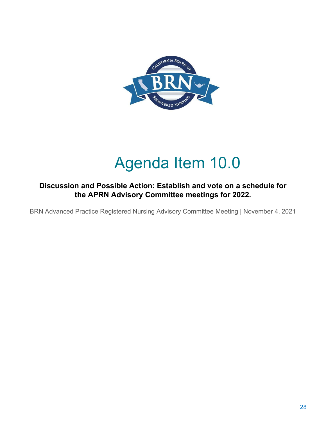

# Agenda Item 10.0

### <span id="page-27-0"></span>**Discussion and Possible Action: Establish and vote on a schedule for the APRN Advisory Committee meetings for 2022.**